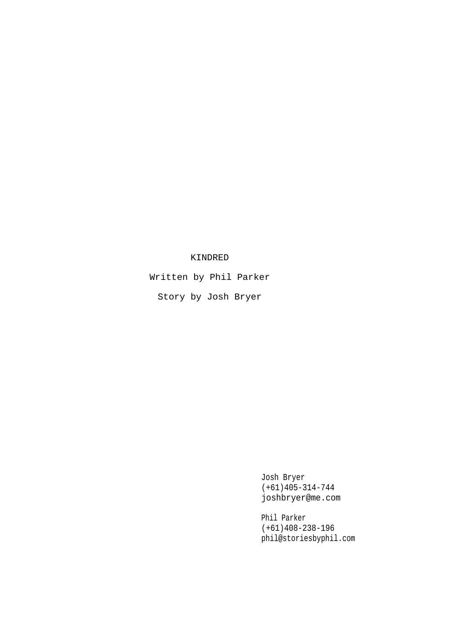# KINDRED

Written by Phil Parker

Story by Josh Bryer

Josh Bryer (+61)405-314-744 joshbryer@me.com

Phil Parker (+61)408-238-196 phil@storiesbyphil.com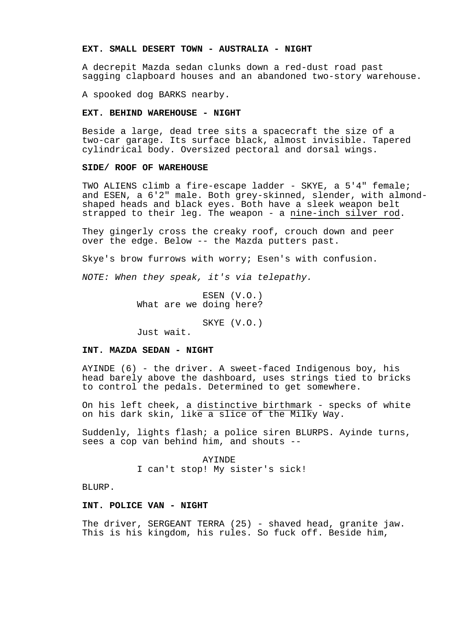### **EXT. SMALL DESERT TOWN - AUSTRALIA - NIGHT**

A decrepit Mazda sedan clunks down a red-dust road past sagging clapboard houses and an abandoned two-story warehouse.

A spooked dog BARKS nearby.

#### **EXT. BEHIND WAREHOUSE - NIGHT**

Beside a large, dead tree sits a spacecraft the size of a two-car garage. Its surface black, almost invisible. Tapered cylindrical body. Oversized pectoral and dorsal wings.

# **SIDE/ ROOF OF WAREHOUSE**

TWO ALIENS climb a fire-escape ladder - SKYE, a 5'4" female; and ESEN, a 6'2" male. Both grey-skinned, slender, with almondshaped heads and black eyes. Both have a sleek weapon belt strapped to their leg. The weapon - a nine-inch silver rod.

They gingerly cross the creaky roof, crouch down and peer over the edge. Below -- the Mazda putters past.

Skye's brow furrows with worry; Esen's with confusion.

NOTE: When they speak, it's via telepathy.

ESEN (V.O.) What are we doing here?

SKYE (V.O.)

Just wait.

# **INT. MAZDA SEDAN - NIGHT**

AYINDE (6) - the driver. A sweet-faced Indigenous boy, his head barely above the dashboard, uses strings tied to bricks to control the pedals. Determined to get somewhere.

On his left cheek, a distinctive birthmark - specks of white on his dark skin, like a slice of the Milky Way.

Suddenly, lights flash; a police siren BLURPS. Ayinde turns, sees a cop van behind him, and shouts --

> AYINDE I can't stop! My sister's sick!

BLURP.

## **INT. POLICE VAN - NIGHT**

The driver, SERGEANT TERRA (25) - shaved head, granite jaw. This is his kingdom, his rules. So fuck off. Beside him,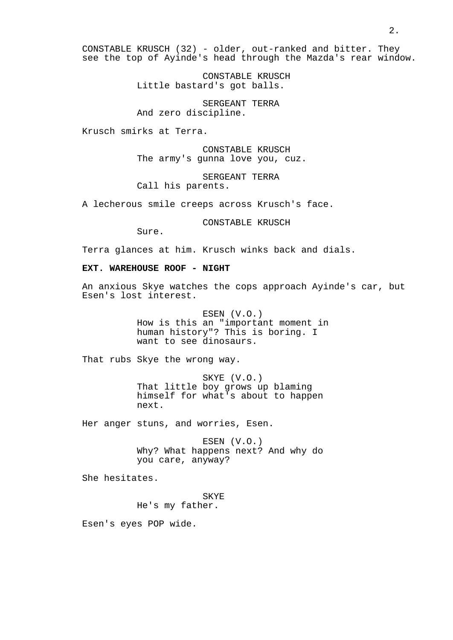CONSTABLE KRUSCH (32) - older, out-ranked and bitter. They see the top of Ayinde's head through the Mazda's rear window.

> CONSTABLE KRUSCH Little bastard's got balls.

SERGEANT TERRA And zero discipline.

Krusch smirks at Terra.

CONSTABLE KRUSCH The army's gunna love you, cuz.

SERGEANT TERRA Call his parents.

A lecherous smile creeps across Krusch's face.

CONSTABLE KRUSCH

Sure.

Terra glances at him. Krusch winks back and dials.

# **EXT. WAREHOUSE ROOF - NIGHT**

An anxious Skye watches the cops approach Ayinde's car, but Esen's lost interest.

> ESEN (V.O.) How is this an "important moment in human history"? This is boring. I want to see dinosaurs.

That rubs Skye the wrong way.

SKYE (V.O.) That little boy grows up blaming himself for what's about to happen next.

Her anger stuns, and worries, Esen.

ESEN (V.O.) Why? What happens next? And why do you care, anyway?

She hesitates.

SKYE He's my father.

Esen's eyes POP wide.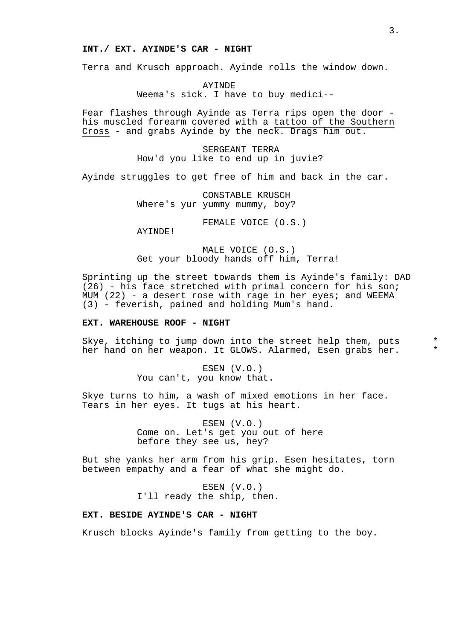## **INT./ EXT. AYINDE'S CAR - NIGHT**

Terra and Krusch approach. Ayinde rolls the window down.

AYINDE Weema's sick. I have to buy medici--

Fear flashes through Ayinde as Terra rips open the door his muscled forearm covered with a tattoo of the Southern Cross - and grabs Ayinde by the neck. Drags him out.

> SERGEANT TERRA How'd you like to end up in juvie?

Ayinde struggles to get free of him and back in the car.

CONSTABLE KRUSCH Where's yur yummy mummy, boy?

FEMALE VOICE (O.S.)

AYINDE!

MALE VOICE (O.S.) Get your bloody hands off him, Terra!

Sprinting up the street towards them is Ayinde's family: DAD (26) - his face stretched with primal concern for his son; MUM  $(22)$  - a desert rose with rage in her eyes; and WEEMA (3) - feverish, pained and holding Mum's hand.

### **EXT. WAREHOUSE ROOF - NIGHT**

Skye, itching to jump down into the street help them, puts \* her hand on her weapon. It GLOWS. Alarmed, Esen grabs her.

> ESEN (V.O.) You can't, you know that.

Skye turns to him, a wash of mixed emotions in her face. Tears in her eyes. It tugs at his heart.

> ESEN (V.O.) Come on. Let's get you out of here before they see us, hey?

But she yanks her arm from his grip. Esen hesitates, torn between empathy and a fear of what she might do.

> ESEN (V.O.) I'll ready the ship, then.

## **EXT. BESIDE AYINDE'S CAR - NIGHT**

Krusch blocks Ayinde's family from getting to the boy.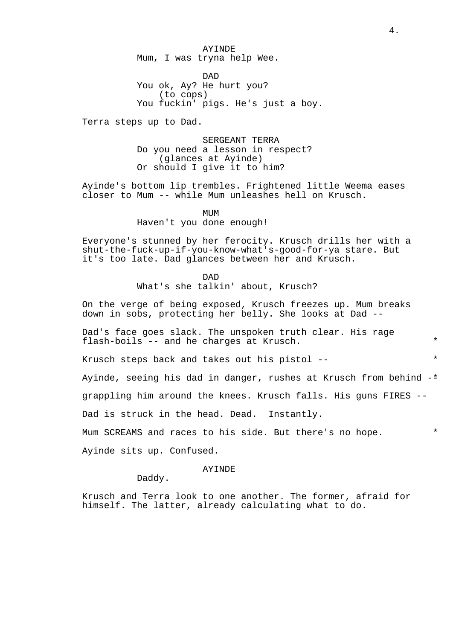AYINDE Mum, I was tryna help Wee.

DAD You ok, Ay? He hurt you? (to cops) You fuckin' pigs. He's just a boy.

Terra steps up to Dad.

SERGEANT TERRA Do you need a lesson in respect? (glances at Ayinde) Or should I give it to him?

Ayinde's bottom lip trembles. Frightened little Weema eases closer to Mum -- while Mum unleashes hell on Krusch.

> MUM Haven't you done enough!

Everyone's stunned by her ferocity. Krusch drills her with a shut-the-fuck-up-if-you-know-what's-good-for-ya stare. But it's too late. Dad glances between her and Krusch.

DAD

What's she talkin' about, Krusch?

On the verge of being exposed, Krusch freezes up. Mum breaks down in sobs, protecting her belly. She looks at Dad --

Dad's face goes slack. The unspoken truth clear. His rage flash-boils  $-$ - and he charges at Krusch.

Krusch steps back and takes out his pistol -- \*

Ayinde, seeing his dad in danger, rushes at Krusch from behind  $-$ \*

grappling him around the knees. Krusch falls. His guns FIRES --

Dad is struck in the head. Dead. Instantly.

Mum SCREAMS and races to his side. But there's no hope. \*

Ayinde sits up. Confused.

### AYINDE

Daddy.

Krusch and Terra look to one another. The former, afraid for himself. The latter, already calculating what to do.